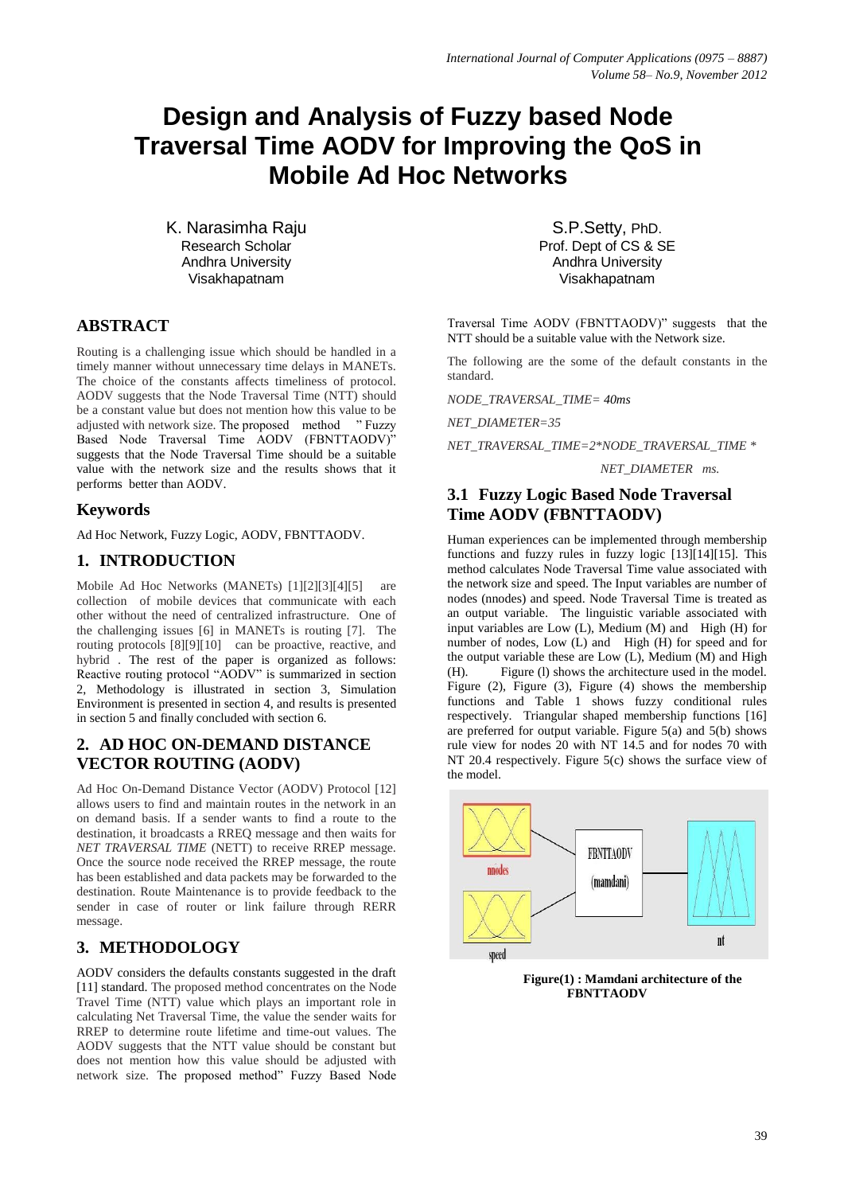# **Design and Analysis of Fuzzy based Node Traversal Time AODV for Improving the QoS in Mobile Ad Hoc Networks**

K. Narasimha Raju Research Scholar Andhra University Visakhapatnam

#### **ABSTRACT**

Routing is a challenging issue which should be handled in a timely manner without unnecessary time delays in MANETs. The choice of the constants affects timeliness of protocol. AODV suggests that the Node Traversal Time (NTT) should be a constant value but does not mention how this value to be adjusted with network size. The proposed method " Fuzzy Based Node Traversal Time AODV (FBNTTAODV)" suggests that the Node Traversal Time should be a suitable value with the network size and the results shows that it performs better than AODV.

## **Keywords**

Ad Hoc Network, Fuzzy Logic, AODV, FBNTTAODV.

# **1. INTRODUCTION**

Mobile Ad Hoc Networks (MANETs) [1][2][3][4][5] are collection of mobile devices that communicate with each other without the need of centralized infrastructure. One of the challenging issues [6] in MANETs is routing [7]. The routing protocols [8][9][10] can be proactive, reactive, and hybrid . The rest of the paper is organized as follows: Reactive routing protocol "AODV" is summarized in section 2, Methodology is illustrated in section 3, Simulation Environment is presented in section 4, and results is presented in section 5 and finally concluded with section 6.

# **2. AD HOC ON-DEMAND DISTANCE VECTOR ROUTING (AODV)**

Ad Hoc On-Demand Distance Vector (AODV) Protocol [12] allows users to find and maintain routes in the network in an on demand basis. If a sender wants to find a route to the destination, it broadcasts a RREQ message and then waits for *NET TRAVERSAL TIME* (NETT) to receive RREP message. Once the source node received the RREP message, the route has been established and data packets may be forwarded to the destination. Route Maintenance is to provide feedback to the sender in case of router or link failure through RERR message.

# **3. METHODOLOGY**

AODV considers the defaults constants suggested in the draft [11] standard. The proposed method concentrates on the Node Travel Time (NTT) value which plays an important role in calculating Net Traversal Time, the value the sender waits for RREP to determine route lifetime and time-out values. The AODV suggests that the NTT value should be constant but does not mention how this value should be adjusted with network size. The proposed method" Fuzzy Based Node

S.P.Setty, PhD. Prof. Dept of CS & SE Andhra University Visakhapatnam

Traversal Time AODV (FBNTTAODV)" suggests that the NTT should be a suitable value with the Network size.

The following are the some of the default constants in the standard.

*NODE\_TRAVERSAL\_TIME= 40ms*

*NET\_DIAMETER=35*

*NET\_TRAVERSAL\_TIME=2\*NODE\_TRAVERSAL\_TIME \** 

```
 NET_DIAMETER ms.
```
## **3.1 Fuzzy Logic Based Node Traversal Time AODV (FBNTTAODV)**

Human experiences can be implemented through membership functions and fuzzy rules in fuzzy logic [13][14][15]. This method calculates Node Traversal Time value associated with the network size and speed. The Input variables are number of nodes (nnodes) and speed. Node Traversal Time is treated as an output variable. The linguistic variable associated with input variables are Low (L), Medium (M) and High (H) for number of nodes, Low (L) and High (H) for speed and for the output variable these are Low  $(L)$ , Medium  $(M)$  and High (H). Figure (l) shows the architecture used in the model. Figure (2), Figure (3), Figure (4) shows the membership functions and Table 1 shows fuzzy conditional rules respectively. Triangular shaped membership functions [16] are preferred for output variable. Figure 5(a) and 5(b) shows rule view for nodes 20 with NT 14.5 and for nodes 70 with NT 20.4 respectively. Figure 5(c) shows the surface view of the model.



**Figure(1) : Mamdani architecture of the FBNTTAODV**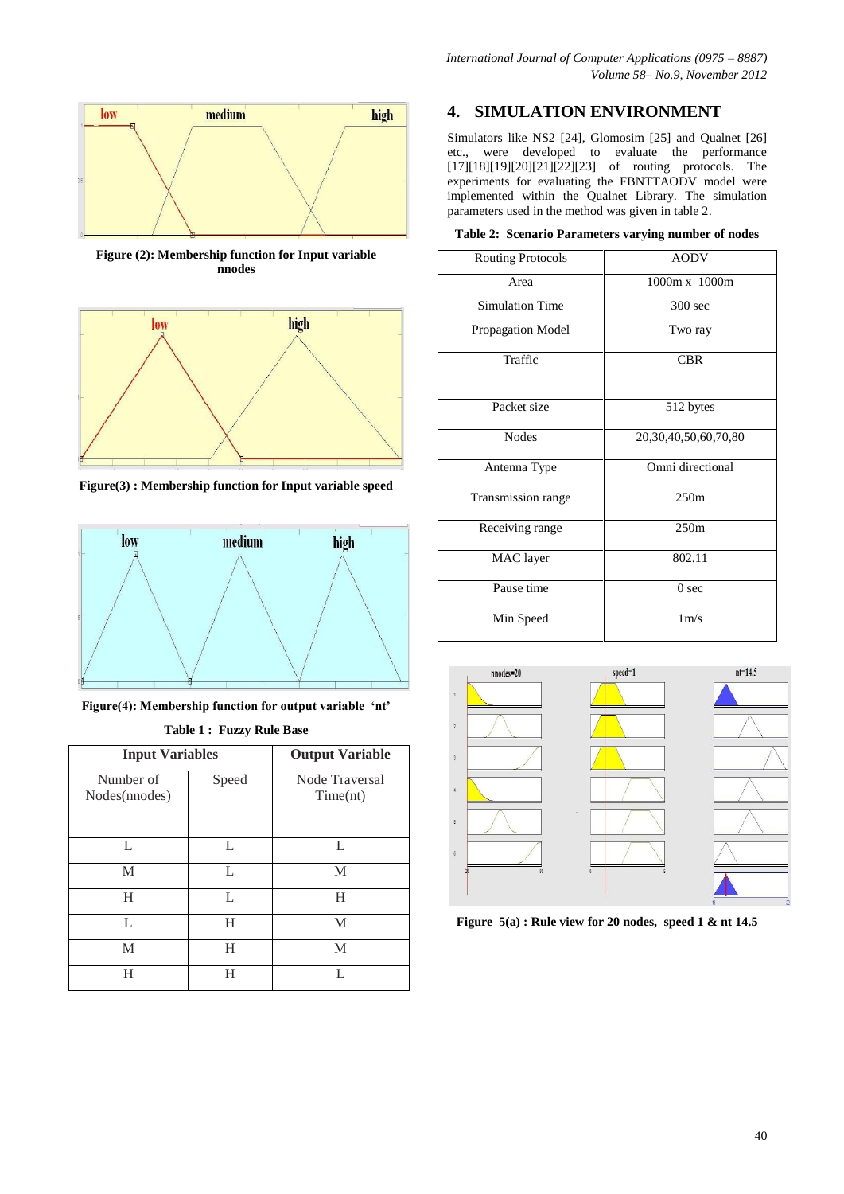

**Figure (2): Membership function for Input variable nnodes**



**Figure(3) : Membership function for Input variable speed**



**Figure(4): Membership function for output variable 'nt' Table 1 : Fuzzy Rule Base**

| <b>Input Variables</b>     | <b>Output Variable</b> |                            |  |
|----------------------------|------------------------|----------------------------|--|
| Number of<br>Nodes(nnodes) | Speed                  | Node Traversal<br>Time(nt) |  |
| L                          | L                      | L                          |  |
| M                          | L                      | M                          |  |
| H                          | L                      | H                          |  |
| L                          | H                      | M                          |  |
| M                          | H                      | M                          |  |
| H                          | н                      | L                          |  |

## **4. SIMULATION ENVIRONMENT**

Simulators like NS2 [24], Glomosim [25] and Qualnet [26] etc., were developed to evaluate the performance  $[17][18][19][20][21][22][23]$  of routing protocols. The experiments for evaluating the FBNTTAODV model were implemented within the Qualnet Library. The simulation parameters used in the method was given in table 2.

|  | Table 2: Scenario Parameters varying number of nodes |  |  |
|--|------------------------------------------------------|--|--|
|  |                                                      |  |  |

| <b>Routing Protocols</b> | <b>AODV</b>                |  |  |
|--------------------------|----------------------------|--|--|
| Area                     | 1000m x 1000m              |  |  |
| <b>Simulation Time</b>   | $300$ sec                  |  |  |
| Propagation Model        | Two ray                    |  |  |
| Traffic                  | <b>CBR</b>                 |  |  |
| Packet size              | 512 bytes                  |  |  |
| <b>Nodes</b>             | 20, 30, 40, 50, 60, 70, 80 |  |  |
| Antenna Type             | Omni directional           |  |  |
| Transmission range       | 250m                       |  |  |
| Receiving range          | 250m                       |  |  |
| MAC layer                | 802.11                     |  |  |
| Pause time               | 0 <sub>sec</sub>           |  |  |
| Min Speed                | $1m$ /s                    |  |  |



**Figure 5(a) : Rule view for 20 nodes, speed 1 & nt 14.5**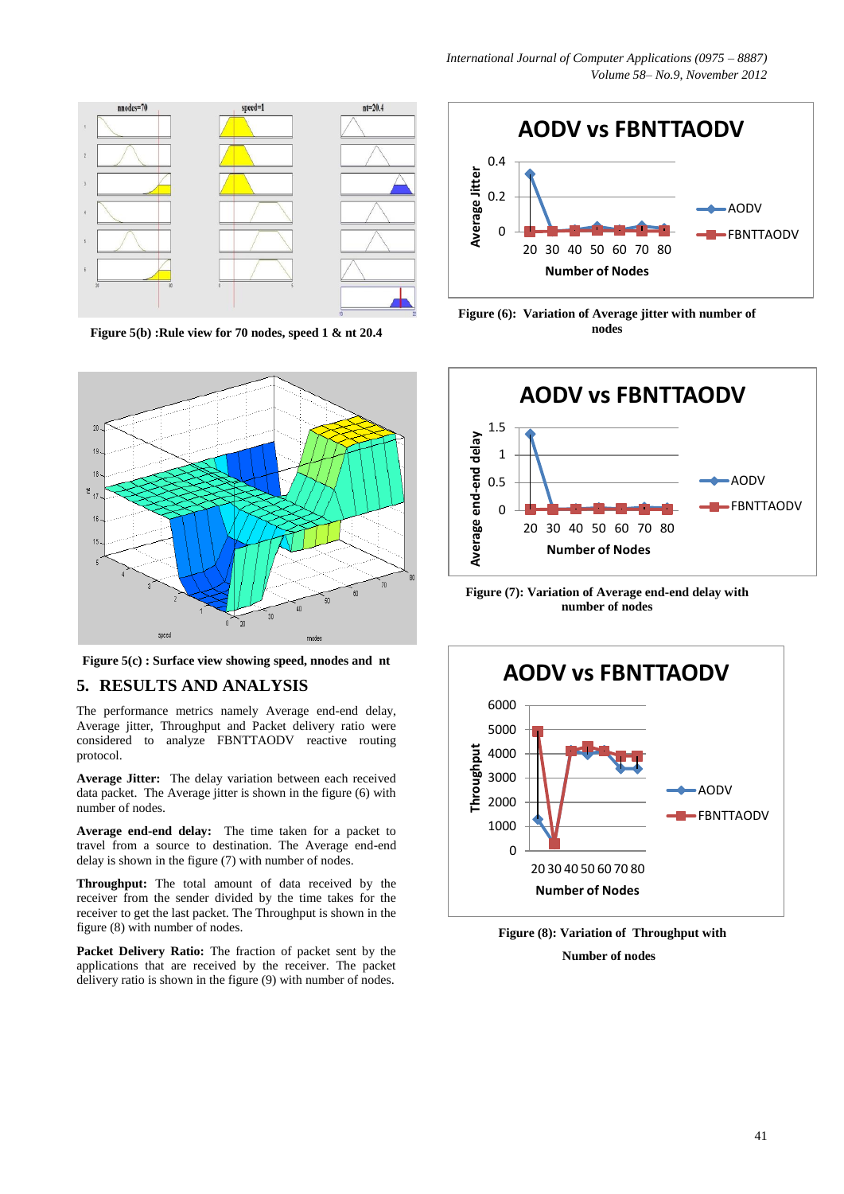

**Figure 5(b) :Rule view for 70 nodes, speed 1 & nt 20.4**



**Figure 5(c) : Surface view showing speed, nnodes and nt**

#### **5. RESULTS AND ANALYSIS**

The performance metrics namely Average end-end delay, Average jitter, Throughput and Packet delivery ratio were considered to analyze FBNTTAODV reactive routing protocol.

**Average Jitter:** The delay variation between each received data packet. The Average jitter is shown in the figure (6) with number of nodes.

**Average end-end delay:** The time taken for a packet to travel from a source to destination. The Average end-end delay is shown in the figure (7) with number of nodes.

**Throughput:** The total amount of data received by the receiver from the sender divided by the time takes for the receiver to get the last packet. The Throughput is shown in the figure (8) with number of nodes.

**Packet Delivery Ratio:** The fraction of packet sent by the applications that are received by the receiver. The packet delivery ratio is shown in the figure (9) with number of nodes.



**Figure (6): Variation of Average jitter with number of nodes**



**Figure (7): Variation of Average end-end delay with number of nodes**



**Figure (8): Variation of Throughput with Number of nodes**